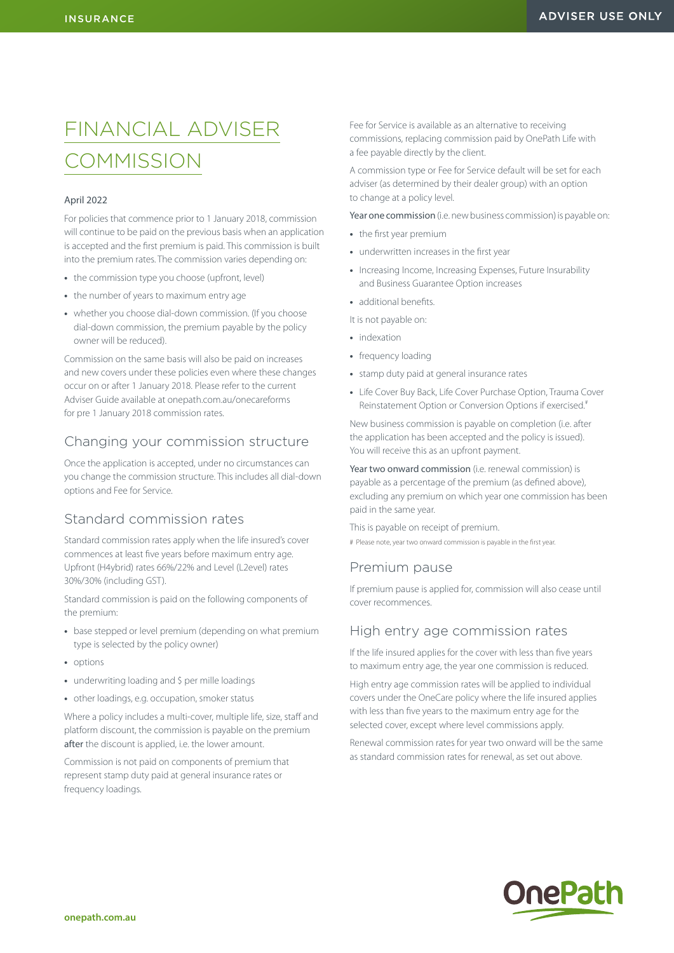# FINANCIAL ADVISER **COMMISSION**

#### April 2022

For policies that commence prior to 1 January 2018, commission will continue to be paid on the previous basis when an application is accepted and the first premium is paid. This commission is built into the premium rates. The commission varies depending on:

- **•** the commission type you choose (upfront, level)
- **•** the number of years to maximum entry age
- **•** whether you choose dial-down commission. (If you choose dial-down commission, the premium payable by the policy owner will be reduced).

Commission on the same basis will also be paid on increases and new covers under these policies even where these changes occur on or after 1 January 2018. Please refer to the current Adviser Guide available at [onepath.com.au/onecareforms](http://onepath.com.au/onecareforms) for pre 1 January 2018 commission rates.

### Changing your commission structure

Once the application is accepted, under no circumstances can you change the commission structure. This includes all dial-down options and Fee for Service.

# Standard commission rates

Standard commission rates apply when the life insured's cover commences at least five years before maximum entry age. Upfront (H4ybrid) rates 66%/22% and Level (L2evel) rates 30%/30% (including GST).

Standard commission is paid on the following components of the premium:

- **•** base stepped or level premium (depending on what premium type is selected by the policy owner)
- **•** options
- **•** underwriting loading and \$ per mille loadings
- **•** other loadings, e.g. occupation, smoker status

Where a policy includes a multi-cover, multiple life, size, staff and platform discount, the commission is payable on the premium after the discount is applied, i.e. the lower amount.

Commission is not paid on components of premium that represent stamp duty paid at general insurance rates or frequency loadings.

Fee for Service is available as an alternative to receiving commissions, replacing commission paid by OnePath Life with a fee payable directly by the client.

A commission type or Fee for Service default will be set for each adviser (as determined by their dealer group) with an option to change at a policy level.

Year one commission (i.e. new business commission) is payable on:

- **•** the first year premium
- **•** underwritten increases in the first year
- **•** Increasing Income, Increasing Expenses, Future Insurability and Business Guarantee Option increases
- **•** additional benefits.

It is not payable on:

- **•** indexation
- **•** frequency loading
- **•** stamp duty paid at general insurance rates
- **•** Life Cover Buy Back, Life Cover Purchase Option, Trauma Cover Reinstatement Option or Conversion Options if exercised.<sup>#</sup>

New business commission is payable on completion (i.e. after the application has been accepted and the policy is issued). You will receive this as an upfront payment.

Year two onward commission (i.e. renewal commission) is payable as a percentage of the premium (as defined above), excluding any premium on which year one commission has been paid in the same year.

This is payable on receipt of premium. # Please note, year two onward commission is payable in the first year.

### Premium pause

If premium pause is applied for, commission will also cease until cover recommences.

### High entry age commission rates

If the life insured applies for the cover with less than five years to maximum entry age, the year one commission is reduced.

High entry age commission rates will be applied to individual covers under the OneCare policy where the life insured applies with less than five years to the maximum entry age for the selected cover, except where level commissions apply.

Renewal commission rates for year two onward will be the same as standard commission rates for renewal, as set out above.

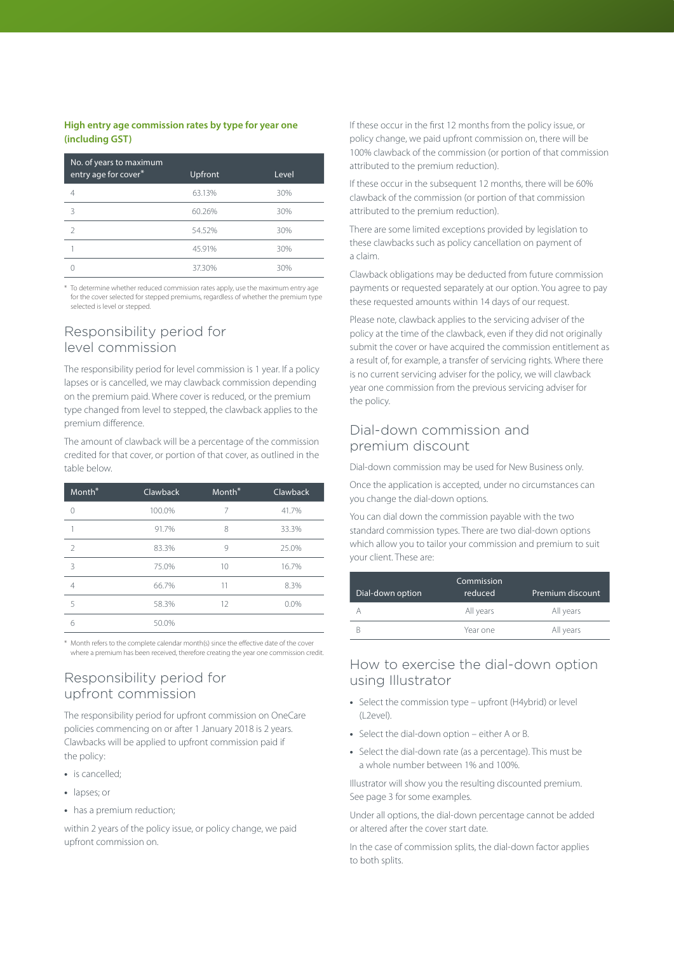### **High entry age commission rates by type for year one (including GST)**

| No. of years to maximum<br>entry age for cover* | Upfront | Level |
|-------------------------------------------------|---------|-------|
|                                                 | 63.13%  | 30%   |
| 3                                               | 60.26%  | 30%   |
|                                                 | 54.52%  | 30%   |
|                                                 | 45.91%  | 30%   |
|                                                 | 37.30%  | 30%   |

\* To determine whether reduced commission rates apply, use the maximum entry age for the cover selected for stepped premiums, regardless of whether the premium type selected is level or stepped.

### Responsibility period for level commission

The responsibility period for level commission is 1 year. If a policy lapses or is cancelled, we may clawback commission depending on the premium paid. Where cover is reduced, or the premium type changed from level to stepped, the clawback applies to the premium difference.

The amount of clawback will be a percentage of the commission credited for that cover, or portion of that cover, as outlined in the table below.

| Month <sup>*</sup> | Clawback | Month <sup>*</sup> | Clawback |
|--------------------|----------|--------------------|----------|
| $\Omega$           | 100.0%   | 7                  | 41.7%    |
|                    | 91.7%    | 8                  | 33.3%    |
| $\mathcal{P}$      | 83.3%    | 9                  | 25.0%    |
| 3                  | 75.0%    | 10                 | 16.7%    |
| $\overline{4}$     | 66.7%    | 11                 | 8.3%     |
| 5                  | 58.3%    | 12                 | 0.0%     |
| 6                  | 50.0%    |                    |          |
|                    |          |                    |          |

\* Month refers to the complete calendar month(s) since the effective date of the cover where a premium has been received, therefore creating the year one commission credit.

# Responsibility period for upfront commission

The responsibility period for upfront commission on OneCare policies commencing on or after 1 January 2018 is 2 years. Clawbacks will be applied to upfront commission paid if the policy:

- **•** is cancelled;
- **•** lapses; or
- **•** has a premium reduction;

within 2 years of the policy issue, or policy change, we paid upfront commission on.

If these occur in the first 12 months from the policy issue, or policy change, we paid upfront commission on, there will be 100% clawback of the commission (or portion of that commission attributed to the premium reduction).

If these occur in the subsequent 12 months, there will be 60% clawback of the commission (or portion of that commission attributed to the premium reduction).

There are some limited exceptions provided by legislation to these clawbacks such as policy cancellation on payment of a claim.

Clawback obligations may be deducted from future commission payments or requested separately at our option. You agree to pay these requested amounts within 14 days of our request.

Please note, clawback applies to the servicing adviser of the policy at the time of the clawback, even if they did not originally submit the cover or have acquired the commission entitlement as a result of, for example, a transfer of servicing rights. Where there is no current servicing adviser for the policy, we will clawback year one commission from the previous servicing adviser for the policy.

# Dial-down commission and premium discount

Dial-down commission may be used for New Business only.

Once the application is accepted, under no circumstances can you change the dial-down options.

You can dial down the commission payable with the two standard commission types. There are two dial-down options which allow you to tailor your commission and premium to suit your client. These are:

| Dial-down option | Commission<br>reduced | Premium discount |
|------------------|-----------------------|------------------|
|                  | All years             | All years        |
|                  | Year one              | All years        |

# How to exercise the dial-down option using Illustrator

- **•** [Select the commission type upfront \(H4ybrid\)](http://Select the commission type  upfront (H2ybrid in 2018, H3ybrid in 2019 and H4ybrid in 2020 onwards) or level (L2evel).
- **•** Select the dial-down option either A or B.
- **•** Select the dial-down rate (as a percentage). This must be a whole number between 1% and 100%.

Illustrator will show you the resulting discounted premium. See page 3 for some examples.

Under all options, the dial-down percentage cannot be added or altered after the cover start date.

In the case of commission splits, the dial-down factor applies to both splits.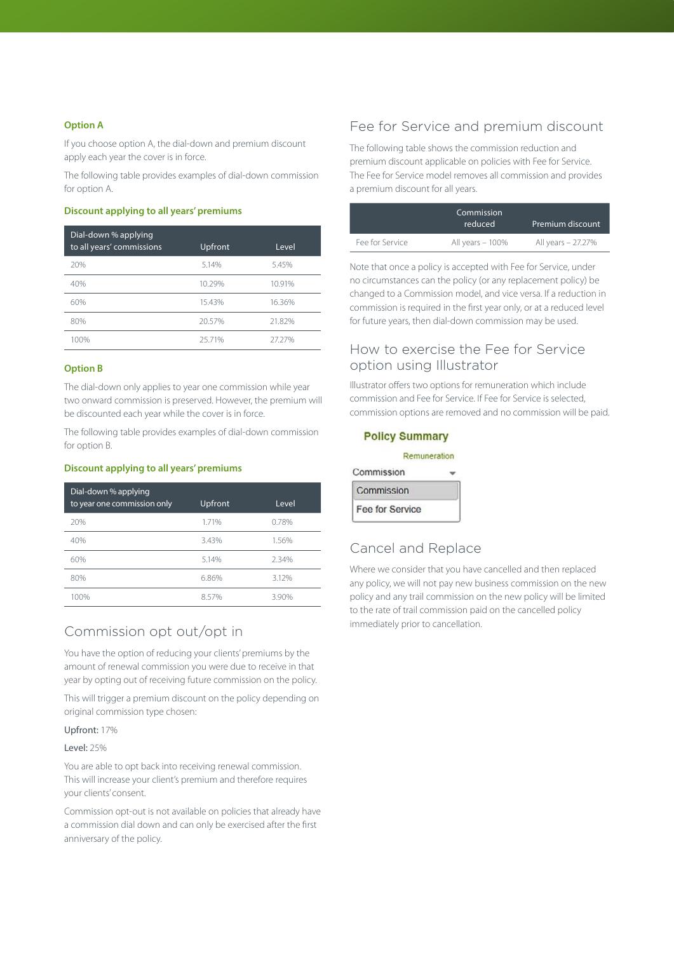#### **Option A**

If you choose option A, the dial-down and premium discount apply each year the cover is in force.

The following table provides examples of dial-down commission for option A.

#### **Discount applying to all years' premiums**

| Dial-down % applying<br>to all years' commissions | Upfront | Level  |
|---------------------------------------------------|---------|--------|
| 20%                                               | 5.14%   | 5.45%  |
| 40%                                               | 10.29%  | 10.91% |
| 60%                                               | 15.43%  | 16.36% |
| 80%                                               | 20.57%  | 21.82% |
| 100%                                              | 25 71%  | 2727%  |

### **Option B**

The dial-down only applies to year one commission while year two onward commission is preserved. However, the premium will be discounted each year while the cover is in force.

The following table provides examples of dial-down commission for option B.

### **Discount applying to all years' premiums**

| Dial-down % applying<br>to year one commission only | Upfront | Level |
|-----------------------------------------------------|---------|-------|
| 20%                                                 | 1.71%   | 0.78% |
| 40%                                                 | 3.43%   | 1.56% |
| 60%                                                 | 5.14%   | 234%  |
| 80%                                                 | 6.86%   | 3.12% |
| 100%                                                | 857%    | 3.90% |

### Commission opt out/opt in

You have the option of reducing your clients' premiums by the amount of renewal commission you were due to receive in that year by opting out of receiving future commission on the policy.

This will trigger a premium discount on the policy depending on original commission type chosen:

#### Upfront: 17%

#### Level: 25%

You are able to opt back into receiving renewal commission. This will increase your client's premium and therefore requires your clients' consent.

Commission opt-out is not available on policies that already have a commission dial down and can only be exercised after the first anniversary of the policy.

### Fee for Service and premium discount

The following table shows the commission reduction and premium discount applicable on policies with Fee for Service. The Fee for Service model removes all commission and provides a premium discount for all years.

|                 | Commission<br>reduced | Premium discount   |
|-----------------|-----------------------|--------------------|
| Fee for Service | All years - 100%      | All years - 27.27% |

Note that once a policy is accepted with Fee for Service, under no circumstances can the policy (or any replacement policy) be changed to a Commission model, and vice versa. If a reduction in commission is required in the first year only, or at a reduced level for future years, then dial-down commission may be used.

### How to exercise the Fee for Service option using Illustrator

Illustrator offers two options for remuneration which include commission and Fee for Service. If Fee for Service is selected, commission options are removed and no commission will be paid.

### **Policy Summary**

|                 | Remuneration |
|-----------------|--------------|
| Commission      |              |
| Commission      |              |
| Fee for Service |              |

# Cancel and Replace

Where we consider that you have cancelled and then replaced any policy, we will not pay new business commission on the new policy and any trail commission on the new policy will be limited to the rate of trail commission paid on the cancelled policy immediately prior to cancellation.